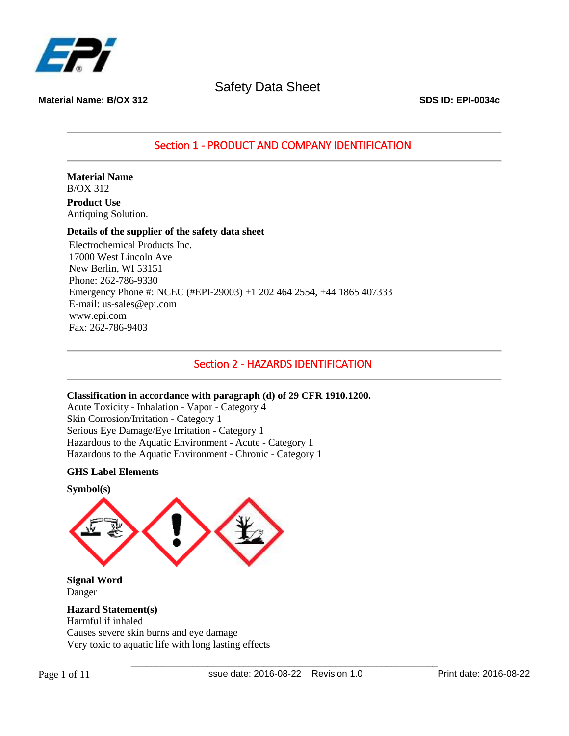

**Material Name: B/OX 312 SDS ID: EPI-0034c**

Section 1 - PRODUCT AND COMPANY IDENTIFICATION

**Material Name** B/OX 312

**Product Use** Antiquing Solution.

### **Details of the supplier of the safety data sheet**

Electrochemical Products Inc. 17000 West Lincoln Ave New Berlin, WI 53151 Phone: 262-786-9330 Emergency Phone #: NCEC (#EPI-29003) +1 202 464 2554, +44 1865 407333 E-mail: us-sales@epi.com www.epi.com Fax: 262-786-9403

### Section 2 - HAZARDS IDENTIFICATION

### **Classification in accordance with paragraph (d) of 29 CFR 1910.1200.**

Acute Toxicity - Inhalation - Vapor - Category 4 Skin Corrosion/Irritation - Category 1 Serious Eye Damage/Eye Irritation - Category 1 Hazardous to the Aquatic Environment - Acute - Category 1 Hazardous to the Aquatic Environment - Chronic - Category 1

### **GHS Label Elements**

**Symbol(s)**

**Signal Word** Danger

**Hazard Statement(s)** Harmful if inhaled Causes severe skin burns and eye damage Very toxic to aquatic life with long lasting effects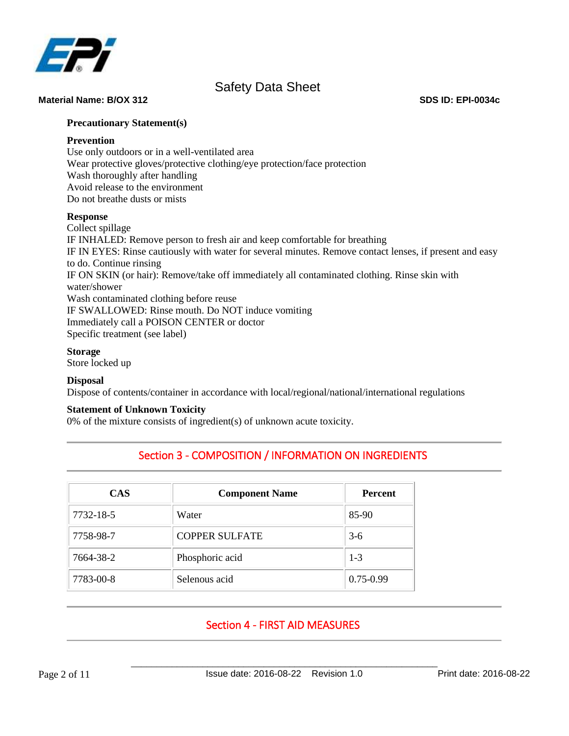

#### **Material Name: B/OX 312 SDS ID: EPI-0034c**

### **Precautionary Statement(s)**

### **Prevention**

Use only outdoors or in a well-ventilated area Wear protective gloves/protective clothing/eye protection/face protection Wash thoroughly after handling Avoid release to the environment Do not breathe dusts or mists

### **Response**

Collect spillage IF INHALED: Remove person to fresh air and keep comfortable for breathing IF IN EYES: Rinse cautiously with water for several minutes. Remove contact lenses, if present and easy to do. Continue rinsing IF ON SKIN (or hair): Remove/take off immediately all contaminated clothing. Rinse skin with water/shower Wash contaminated clothing before reuse IF SWALLOWED: Rinse mouth. Do NOT induce vomiting Immediately call a POISON CENTER or doctor Specific treatment (see label)

### **Storage**

Store locked up

### **Disposal**

Dispose of contents/container in accordance with local/regional/national/international regulations

### **Statement of Unknown Toxicity**

0% of the mixture consists of ingredient(s) of unknown acute toxicity.

# Section 3 - COMPOSITION / INFORMATION ON INGREDIENTS

| <b>CAS</b> | <b>Component Name</b> | <b>Percent</b> |
|------------|-----------------------|----------------|
| 7732-18-5  | Water                 | 85-90          |
| 7758-98-7  | <b>COPPER SULFATE</b> | $3-6$          |
| 7664-38-2  | Phosphoric acid       | $1-3$          |
| 7783-00-8  | Selenous acid         | $0.75 - 0.99$  |

# Section 4 - FIRST AID MEASURES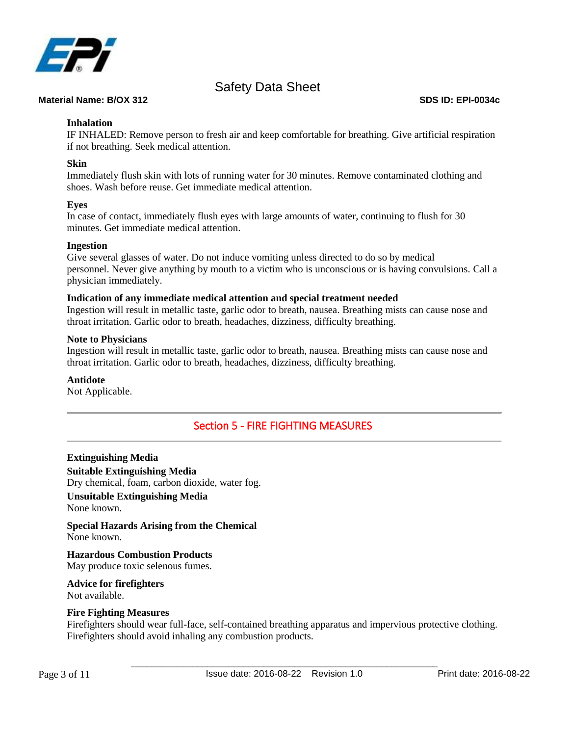

### **Material Name: B/OX 312 SDS ID: EPI-0034c**

### **Inhalation**

IF INHALED: Remove person to fresh air and keep comfortable for breathing. Give artificial respiration if not breathing. Seek medical attention.

### **Skin**

Immediately flush skin with lots of running water for 30 minutes. Remove contaminated clothing and shoes. Wash before reuse. Get immediate medical attention.

### **Eyes**

In case of contact, immediately flush eyes with large amounts of water, continuing to flush for 30 minutes. Get immediate medical attention.

### **Ingestion**

Give several glasses of water. Do not induce vomiting unless directed to do so by medical personnel. Never give anything by mouth to a victim who is unconscious or is having convulsions. Call a physician immediately.

### **Indication of any immediate medical attention and special treatment needed**

Ingestion will result in metallic taste, garlic odor to breath, nausea. Breathing mists can cause nose and throat irritation. Garlic odor to breath, headaches, dizziness, difficulty breathing.

### **Note to Physicians**

Ingestion will result in metallic taste, garlic odor to breath, nausea. Breathing mists can cause nose and throat irritation. Garlic odor to breath, headaches, dizziness, difficulty breathing.

### **Antidote**

Not Applicable.

# Section 5 - FIRE FIGHTING MEASURES

**Extinguishing Media Suitable Extinguishing Media** Dry chemical, foam, carbon dioxide, water fog.

#### **Unsuitable Extinguishing Media** None known.

**Special Hazards Arising from the Chemical** None known.

**Hazardous Combustion Products** May produce toxic selenous fumes.

**Advice for firefighters**

Not available.

### **Fire Fighting Measures**

Firefighters should wear full-face, self-contained breathing apparatus and impervious protective clothing. Firefighters should avoid inhaling any combustion products.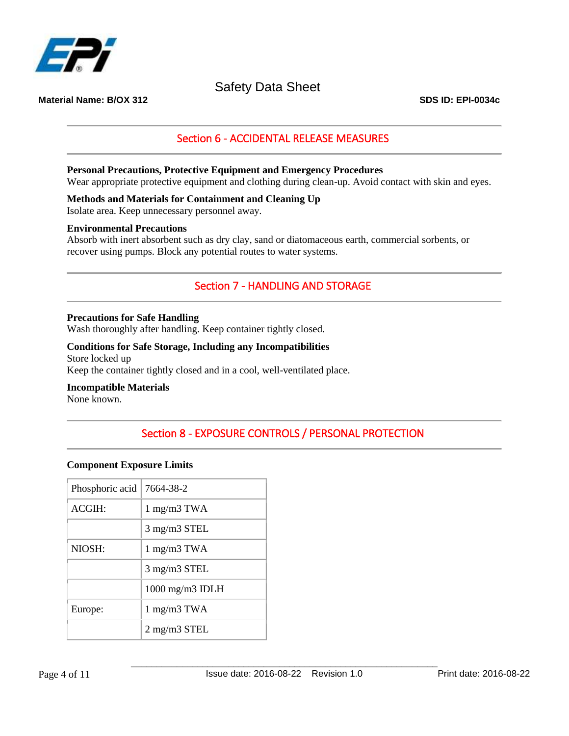

**Material Name: B/OX 312 SDS ID: EPI-0034c**

# Section 6 - ACCIDENTAL RELEASE MEASURES

### **Personal Precautions, Protective Equipment and Emergency Procedures**

Wear appropriate protective equipment and clothing during clean-up. Avoid contact with skin and eyes.

### **Methods and Materials for Containment and Cleaning Up**

Isolate area. Keep unnecessary personnel away.

#### **Environmental Precautions**

Absorb with inert absorbent such as dry clay, sand or diatomaceous earth, commercial sorbents, or recover using pumps. Block any potential routes to water systems.

### Section 7 - HANDLING AND STORAGE

#### **Precautions for Safe Handling**

Wash thoroughly after handling. Keep container tightly closed.

#### **Conditions for Safe Storage, Including any Incompatibilities**

Store locked up Keep the container tightly closed and in a cool, well-ventilated place.

### **Incompatible Materials**

None known.

# Section 8 - EXPOSURE CONTROLS / PERSONAL PROTECTION

### **Component Exposure Limits**

| Phosphoric acid | 7664-38-2                         |  |
|-----------------|-----------------------------------|--|
| ACGIH:          | $1$ mg/m $3$ TWA                  |  |
|                 | $3 \text{ mg/m}$ $3 \text{ STEL}$ |  |
| NIOSH:          | $1 \text{ mg/m}$ $3 \text{ TWA}$  |  |
|                 | $3$ mg/m $3$ STEL                 |  |
|                 | $1000$ mg/m $3$ IDLH              |  |
| Europe:         | $1 \text{ mg/m}$ $3 \text{ TWA}$  |  |
|                 | $2$ mg/m $3$ STEL                 |  |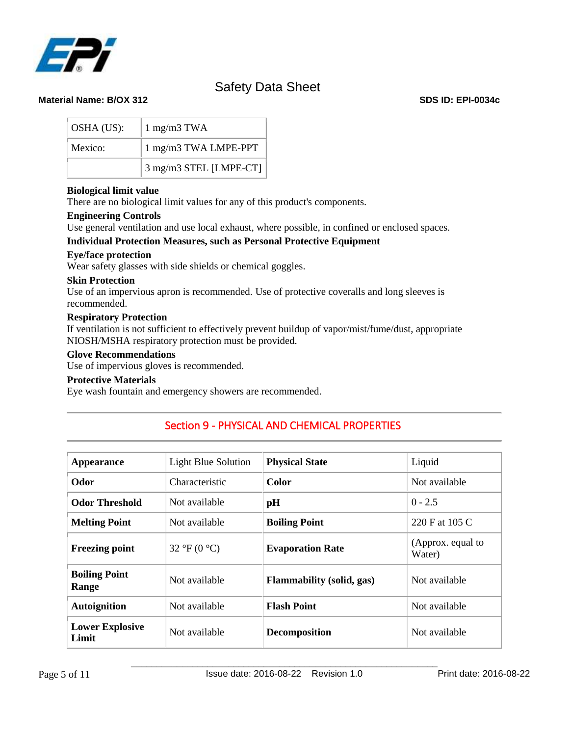

| OSHA (US): | $1$ mg/m $3$ TWA                       |
|------------|----------------------------------------|
| Mexico:    | $1 \text{ mg/m}3 \text{ TWA LMPE-PPT}$ |
|            | 3 mg/m3 STEL [LMPE-CT]                 |

### **Biological limit value**

There are no biological limit values for any of this product's components.

### **Engineering Controls**

Use general ventilation and use local exhaust, where possible, in confined or enclosed spaces.

### **Individual Protection Measures, such as Personal Protective Equipment**

### **Eye/face protection**

Wear safety glasses with side shields or chemical goggles.

### **Skin Protection**

Use of an impervious apron is recommended. Use of protective coveralls and long sleeves is recommended.

### **Respiratory Protection**

If ventilation is not sufficient to effectively prevent buildup of vapor/mist/fume/dust, appropriate NIOSH/MSHA respiratory protection must be provided.

### **Glove Recommendations**

Use of impervious gloves is recommended.

### **Protective Materials**

Eye wash fountain and emergency showers are recommended.

| <b>Appearance</b>               | Light Blue Solution | <b>Physical State</b>            | Liquid                      |
|---------------------------------|---------------------|----------------------------------|-----------------------------|
| Odor                            | Characteristic      | Color                            | Not available               |
| <b>Odor Threshold</b>           | Not available       | pH                               | $0 - 2.5$                   |
| <b>Melting Point</b>            | Not available       | <b>Boiling Point</b>             | 220 F at 105 C              |
| <b>Freezing point</b>           | 32 °F (0 °C)        | <b>Evaporation Rate</b>          | (Approx. equal to<br>Water) |
| <b>Boiling Point</b><br>Range   | Not available       | <b>Flammability</b> (solid, gas) | Not available               |
| <b>Autoignition</b>             | Not available       | <b>Flash Point</b>               | Not available               |
| <b>Lower Explosive</b><br>Limit | Not available       | <b>Decomposition</b>             | Not available               |

# Section 9 - PHYSICAL AND CHEMICAL PROPERTIES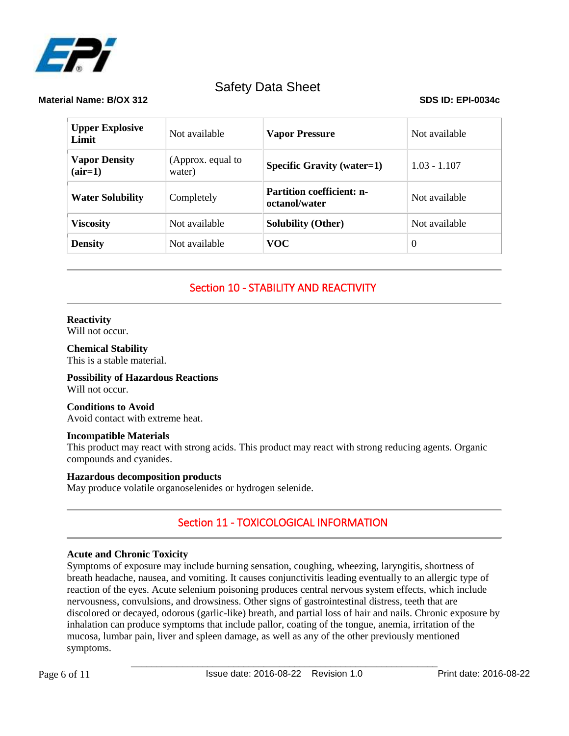

### **Material Name: B/OX 312 SDS ID: EPI-0034c**

| <b>Upper Explosive</b><br>Limit   | Not available               | <b>Vapor Pressure</b>                             | Not available  |
|-----------------------------------|-----------------------------|---------------------------------------------------|----------------|
| <b>Vapor Density</b><br>$(air=1)$ | (Approx. equal to<br>water) | <b>Specific Gravity (water=1)</b>                 | $1.03 - 1.107$ |
| <b>Water Solubility</b>           | Completely                  | <b>Partition coefficient: n-</b><br>octanol/water | Not available  |
| <b>Viscosity</b>                  | Not available               | <b>Solubility (Other)</b>                         | Not available  |
| <b>Density</b>                    | Not available               | <b>VOC</b>                                        | $\Omega$       |

# Section 10 - STABILITY AND REACTIVITY

### **Reactivity**

Will not occur.

**Chemical Stability** This is a stable material.

**Possibility of Hazardous Reactions** Will not occur.

**Conditions to Avoid** Avoid contact with extreme heat.

### **Incompatible Materials**

This product may react with strong acids. This product may react with strong reducing agents. Organic compounds and cyanides.

### **Hazardous decomposition products**

May produce volatile organoselenides or hydrogen selenide.

# Section 11 - TOXICOLOGICAL INFORMATION

### **Acute and Chronic Toxicity**

Symptoms of exposure may include burning sensation, coughing, wheezing, laryngitis, shortness of breath headache, nausea, and vomiting. It causes conjunctivitis leading eventually to an allergic type of reaction of the eyes. Acute selenium poisoning produces central nervous system effects, which include nervousness, convulsions, and drowsiness. Other signs of gastrointestinal distress, teeth that are discolored or decayed, odorous (garlic-like) breath, and partial loss of hair and nails. Chronic exposure by inhalation can produce symptoms that include pallor, coating of the tongue, anemia, irritation of the mucosa, lumbar pain, liver and spleen damage, as well as any of the other previously mentioned symptoms.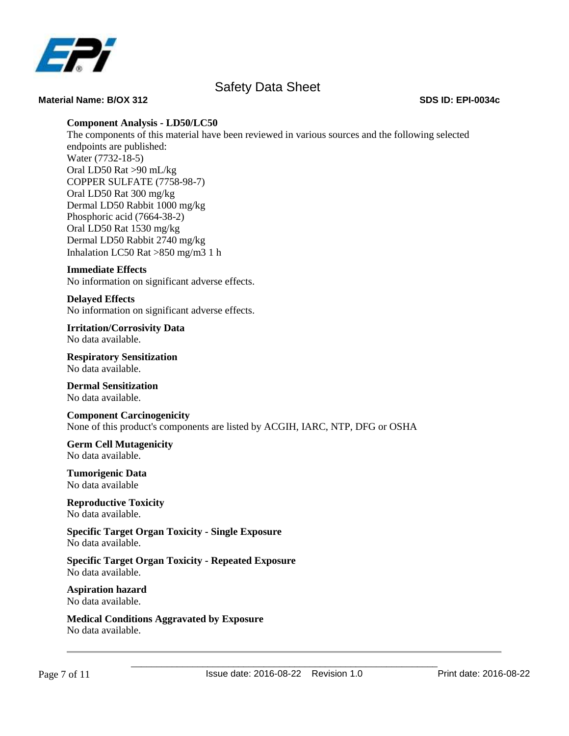

#### **Material Name: B/OX 312 SDS ID: EPI-0034c**

### **Component Analysis - LD50/LC50**

The components of this material have been reviewed in various sources and the following selected endpoints are published: Water (7732-18-5) Oral LD50 Rat >90 mL/kg COPPER SULFATE (7758-98-7) Oral LD50 Rat 300 mg/kg Dermal LD50 Rabbit 1000 mg/kg Phosphoric acid (7664-38-2) Oral LD50 Rat 1530 mg/kg Dermal LD50 Rabbit 2740 mg/kg Inhalation LC50 Rat >850 mg/m3 1 h

### **Immediate Effects**

No information on significant adverse effects.

**Delayed Effects** No information on significant adverse effects.

**Irritation/Corrosivity Data** No data available.

**Respiratory Sensitization** No data available.

**Dermal Sensitization** No data available.

**Component Carcinogenicity** None of this product's components are listed by ACGIH, IARC, NTP, DFG or OSHA

**Germ Cell Mutagenicity** No data available.

**Tumorigenic Data** No data available

**Reproductive Toxicity** No data available.

**Specific Target Organ Toxicity - Single Exposure** No data available.

**Specific Target Organ Toxicity - Repeated Exposure** No data available.

**Aspiration hazard** No data available.

**Medical Conditions Aggravated by Exposure** No data available.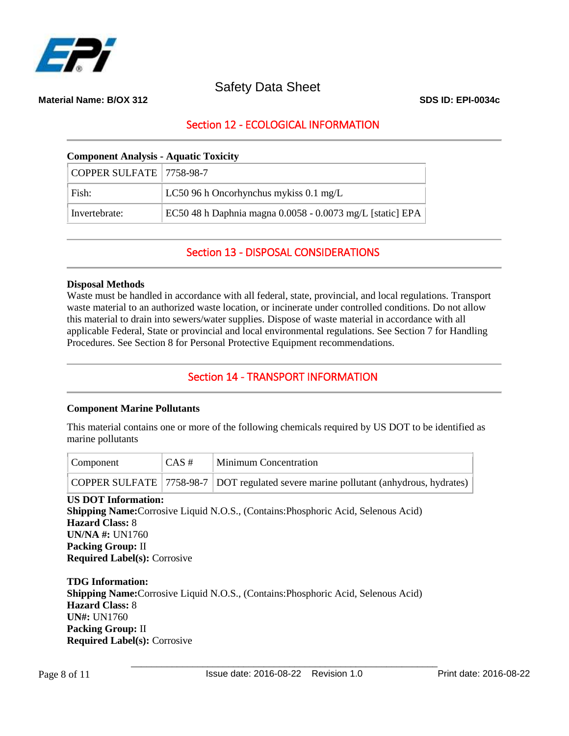

**Material Name: B/OX 312 SDS ID: EPI-0034c**

# Section 12 - ECOLOGICAL INFORMATION

### **Component Analysis - Aquatic Toxicity**

| $ $ COPPER SULFATE $ 7758-98-7$ |                                                           |
|---------------------------------|-----------------------------------------------------------|
| Fish:                           | LC50 96 h Oncorhynchus mykiss 0.1 mg/L                    |
| Invertebrate:                   | EC50 48 h Daphnia magna 0.0058 - 0.0073 mg/L [static] EPA |

Section 13 - DISPOSAL CONSIDERATIONS

### **Disposal Methods**

Waste must be handled in accordance with all federal, state, provincial, and local regulations. Transport waste material to an authorized waste location, or incinerate under controlled conditions. Do not allow this material to drain into sewers/water supplies. Dispose of waste material in accordance with all applicable Federal, State or provincial and local environmental regulations. See Section 7 for Handling Procedures. See Section 8 for Personal Protective Equipment recommendations.

### Section 14 - TRANSPORT INFORMATION

### **Component Marine Pollutants**

This material contains one or more of the following chemicals required by US DOT to be identified as marine pollutants

| Component | $CAS \#$ | <b>Minimum Concentration</b>                                                         |
|-----------|----------|--------------------------------------------------------------------------------------|
|           |          | COPPER SULFATE 7758-98-7 DOT regulated severe marine pollutant (anhydrous, hydrates) |

**US DOT Information: Shipping Name:**Corrosive Liquid N.O.S., (Contains:Phosphoric Acid, Selenous Acid) **Hazard Class:** 8 **UN/NA #:** UN1760 **Packing Group:** II **Required Label(s):** Corrosive

**TDG Information: Shipping Name:**Corrosive Liquid N.O.S., (Contains:Phosphoric Acid, Selenous Acid) **Hazard Class:** 8 **UN#:** UN1760 **Packing Group:** II **Required Label(s):** Corrosive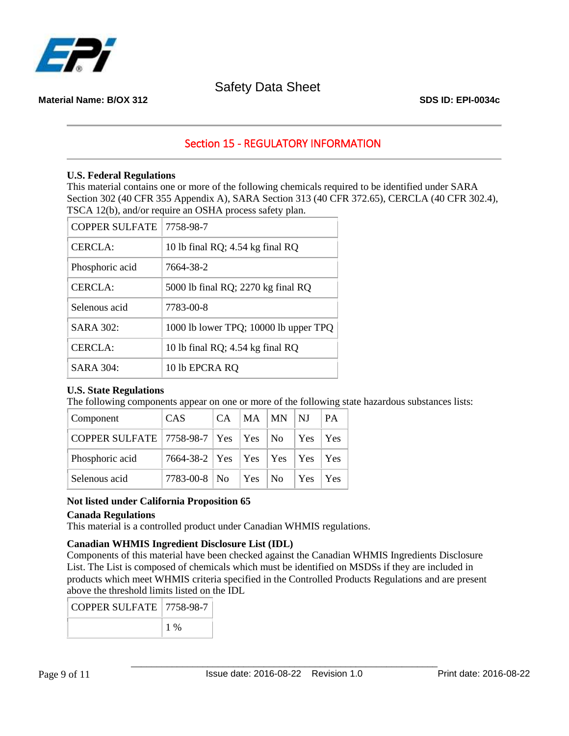

### **Material Name: B/OX 312 SDS ID: EPI-0034c**

# Section 15 - REGULATORY INFORMATION

### **U.S. Federal Regulations**

This material contains one or more of the following chemicals required to be identified under SARA Section 302 (40 CFR 355 Appendix A), SARA Section 313 (40 CFR 372.65), CERCLA (40 CFR 302.4), TSCA 12(b), and/or require an OSHA process safety plan.

| COPPER SULFATE   7758-98-7 |                                       |
|----------------------------|---------------------------------------|
| CERCIA:                    | 10 lb final RQ; 4.54 kg final RQ      |
| Phosphoric acid            | 7664-38-2                             |
| <b>CERCLA:</b>             | 5000 lb final RQ; 2270 kg final RQ    |
| Selenous acid              | 7783-00-8                             |
| SARA 302:                  | 1000 lb lower TPQ; 10000 lb upper TPQ |
| <b>CERCLA:</b>             | 10 lb final RQ; 4.54 kg final RQ      |
| SARA 304:                  | 10 lb EPCRA RQ                        |

### **U.S. State Regulations**

The following components appear on one or more of the following state hazardous substances lists:

| Component                                                              | <b>CAS</b>                              | $\mathsf{ICA}$ | $ MA$ $ MN$ |    | $\parallel$ NJ          | <b>PA</b> |
|------------------------------------------------------------------------|-----------------------------------------|----------------|-------------|----|-------------------------|-----------|
| $\mid$ COPPER SULFATE $\mid$ 7758-98-7 $\mid$ Yes $\mid$ Yes $\mid$ No |                                         |                |             |    | $\vert$ Yes $\vert$ Yes |           |
| Phosphoric acid                                                        | 7664-38-2   Yes   Yes   Yes   Yes   Yes |                |             |    |                         |           |
| Selenous acid                                                          | $7783 - 00 - 8$ No                      |                | Yes         | No | Yes                     | Yes       |

### **Not listed under California Proposition 65**

### **Canada Regulations**

This material is a controlled product under Canadian WHMIS regulations.

### **Canadian WHMIS Ingredient Disclosure List (IDL)**

Components of this material have been checked against the Canadian WHMIS Ingredients Disclosure List. The List is composed of chemicals which must be identified on MSDSs if they are included in products which meet WHMIS criteria specified in the Controlled Products Regulations and are present above the threshold limits listed on the IDL

| COPPER SULFATE   7758-98-7 |  |
|----------------------------|--|
|                            |  |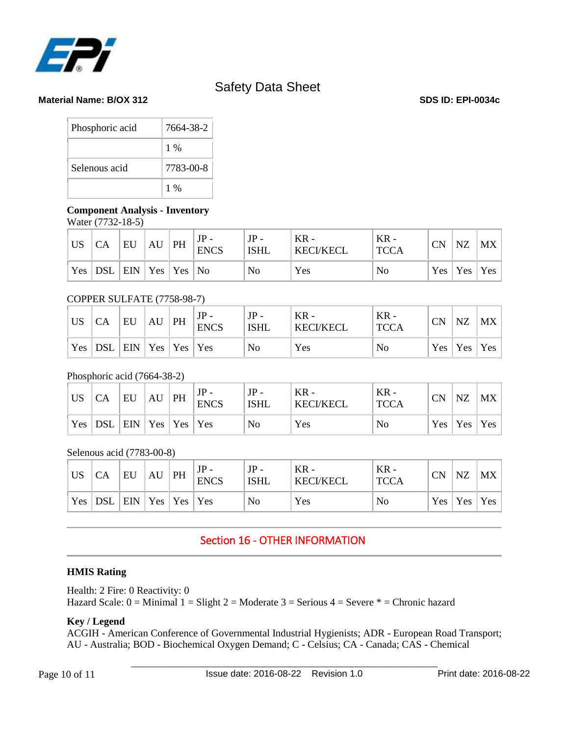

**Material Name: B/OX 312 SDS ID: EPI-0034c**

| Phosphoric acid | 7664-38-2 |
|-----------------|-----------|
|                 | $1\%$     |
| Selenous acid   | 7783-00-8 |
|                 | $1\%$     |

### **Component Analysis - Inventory**

Water (7732-18-5)

| <b>US</b> | CA                                     | EU | AU | PH | <b>ENCS</b> | $JP -$<br><b>ISHL</b> | $KR -$<br><b>KECI/KECL</b> | $KR -$<br><b>TCCA</b> | <b>CN</b> | NZ              | MX |
|-----------|----------------------------------------|----|----|----|-------------|-----------------------|----------------------------|-----------------------|-----------|-----------------|----|
| Yes       | $ $ DSL $ $ EIN $ $ Yes $ $ Yes $ $ No |    |    |    |             | No                    | Yes                        | No                    |           | Yes   Yes   Yes |    |

### COPPER SULFATE (7758-98-7)

| <b>US</b> | <b>CA</b> | EU                 | AU | PH | <b>ENCS</b> | JP -<br><b>ISHL</b> | $KR -$<br><b>KECI/KECL</b> | $KR -$<br><b>TCCA</b> | CN | NZ              | MX |
|-----------|-----------|--------------------|----|----|-------------|---------------------|----------------------------|-----------------------|----|-----------------|----|
|           | $Yes$ DSL | $ ENN Yes Yes Yes$ |    |    |             | No                  | Yes                        | No                    |    | Yes   Yes   Yes |    |

### Phosphoric acid (7664-38-2)

| US | CA        | EU                       | AU | PH | <b>ENCS</b> | $JP -$<br><b>ISHL</b> | $KR -$<br><b>KECI/KECL</b> | KR -<br><b>TCCA</b> | CN | NZ                  | MX  |
|----|-----------|--------------------------|----|----|-------------|-----------------------|----------------------------|---------------------|----|---------------------|-----|
|    | Yes   DSL | $ ENN   Yes   Yes   Yes$ |    |    |             | No                    | Yes                        | No                  |    | $Yes \mid Yes \mid$ | Yes |

Selenous acid (7783-00-8)

| US | CA              | EU                              | AU | PH | <b>ENCS</b> | $JP -$<br><b>ISHL</b> | $KR -$<br><b>KECI/KECL</b> | $KR -$<br><b>TCCA</b> | <b>CN</b> | NZ              | MX |
|----|-----------------|---------------------------------|----|----|-------------|-----------------------|----------------------------|-----------------------|-----------|-----------------|----|
|    | Yes $ $ DSL $ $ | $ $ EIN $ $ Yes $ $ Yes $ $ Yes |    |    |             | No                    | Yes                        | No                    |           | Yes   Yes   Yes |    |

# Section 16 - OTHER INFORMATION

### **HMIS Rating**

Health: 2 Fire: 0 Reactivity: 0 Hazard Scale:  $0 =$  Minimal  $1 =$  Slight  $2 =$  Moderate  $3 =$  Serious  $4 =$  Severe  $* =$  Chronic hazard

### **Key / Legend**

ACGIH - American Conference of Governmental Industrial Hygienists; ADR - European Road Transport; AU - Australia; BOD - Biochemical Oxygen Demand; C - Celsius; CA - Canada; CAS - Chemical